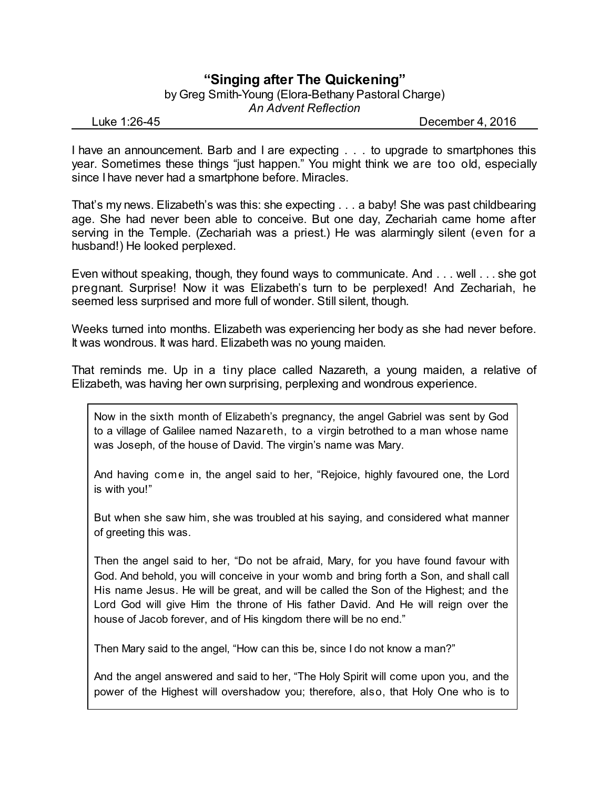## **"Singing after The Quickening"**

by Greg Smith-Young (Elora-Bethany Pastoral Charge) *An Advent Reflection*

Luke 1:26-45 December 4, 2016

I have an announcement. Barb and I are expecting . . . to upgrade to smartphones this year. Sometimes these things "just happen." You might think we are too old, especially since I have never had a smartphone before. Miracles.

That's my news. Elizabeth's was this: she expecting . . . a baby! She was past childbearing age. She had never been able to conceive. But one day, Zechariah came home after serving in the Temple. (Zechariah was a priest.) He was alarmingly silent (even for a husband!) He looked perplexed.

Even without speaking, though, they found ways to communicate. And . . . well . . . she got pregnant. Surprise! Now it was Elizabeth's turn to be perplexed! And Zechariah, he seemed less surprised and more full of wonder. Still silent, though.

Weeks turned into months. Elizabeth was experiencing her body as she had never before. It was wondrous. It was hard. Elizabeth was no young maiden.

That reminds me. Up in a tiny place called Nazareth, a young maiden, a relative of Elizabeth, was having her own surprising, perplexing and wondrous experience.

Now in the sixth month of Elizabeth's pregnancy, the angel Gabriel was sent by God to a village of Galilee named Nazareth, to a virgin betrothed to a man whose name was Joseph, of the house of David. The virgin's name was Mary.

And having come in, the angel said to her, "Rejoice, highly favoured one, the Lord is with you!"

But when she saw him, she was troubled at his saying, and considered what manner of greeting this was.

Then the angel said to her, "Do not be afraid, Mary, for you have found favour with God. And behold, you will conceive in your womb and bring forth a Son, and shall call His name Jesus. He will be great, and will be called the Son of the Highest; and the Lord God will give Him the throne of His father David. And He will reign over the house of Jacob forever, and of His kingdom there will be no end."

Then Mary said to the angel, "How can this be, since I do not know a man?"

And the angel answered and said to her, "The Holy Spirit will come upon you, and the power of the Highest will overshadow you; therefore, also, that Holy One who is to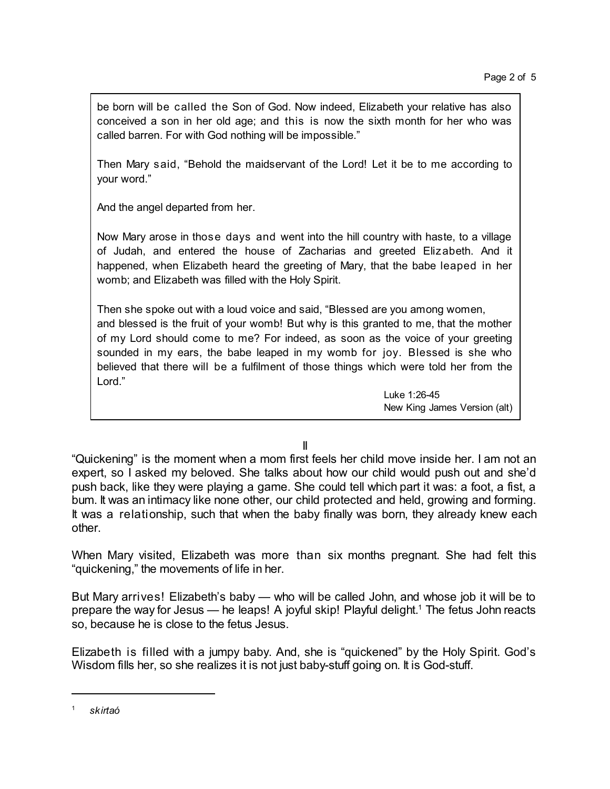be born will be called the Son of God. Now indeed, Elizabeth your relative has also conceived a son in her old age; and this is now the sixth month for her who was called barren. For with God nothing will be impossible."

Then Mary said, "Behold the maidservant of the Lord! Let it be to me according to your word."

And the angel departed from her.

Now Mary arose in those days and went into the hill country with haste, to a village of Judah, and entered the house of Zacharias and greeted Elizabeth. And it happened, when Elizabeth heard the greeting of Mary, that the babe leaped in her womb; and Elizabeth was filled with the Holy Spirit.

Then she spoke out with a loud voice and said, "Blessed are you among women, and blessed is the fruit of your womb! But why is this granted to me, that the mother of my Lord should come to me? For indeed, as soon as the voice of your greeting sounded in my ears, the babe leaped in my womb for joy. Blessed is she who believed that there will be a fulfilment of those things which were told her from the Lord."

> Luke 1:26-45 New King James Version (alt)

II

"Quickening" is the moment when a mom first feels her child move inside her. I am not an expert, so I asked my beloved. She talks about how our child would push out and she'd push back, like they were playing a game. She could tell which part it was: a foot, a fist, a bum. It was an intimacy like none other, our child protected and held, growing and forming. It was a relationship, such that when the baby finally was born, they already knew each other.

When Mary visited, Elizabeth was more than six months pregnant. She had felt this "quickening," the movements of life in her.

But Mary arrives! Elizabeth's baby — who will be called John, and whose job it will be to prepare the way for Jesus — he leaps! A joyful skip! Playful delight. <sup>1</sup> The fetus John reacts so, because he is close to the fetus Jesus.

Elizabeth is filled with a jumpy baby. And, she is "quickened" by the Holy Spirit. God's Wisdom fills her, so she realizes it is not just baby-stuff going on. It is God-stuff.

<sup>1</sup> *skirtaó*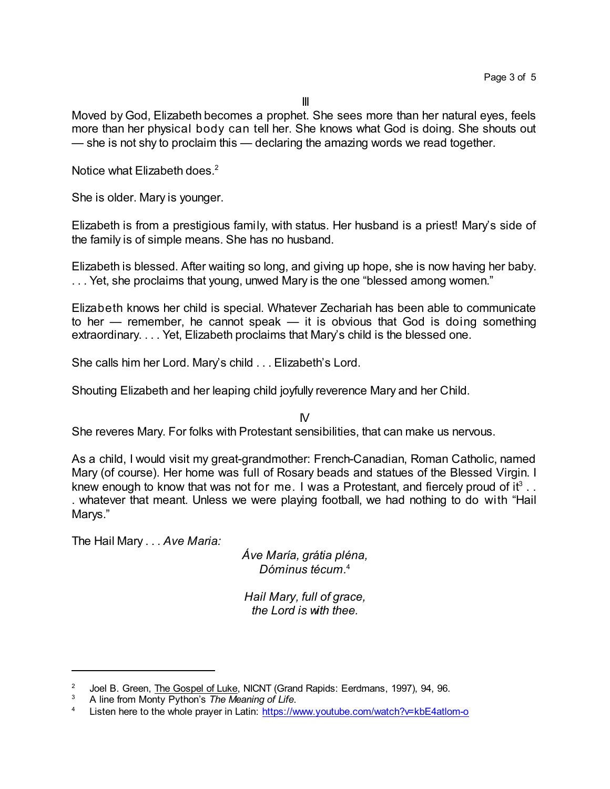Moved by God, Elizabeth becomes a prophet. She sees more than her natural eyes, feels more than her physical body can tell her. She knows what God is doing. She shouts out — she is not shy to proclaim this — declaring the amazing words we read together.

Notice what Elizabeth does.<sup>2</sup>

She is older. Mary is younger.

Elizabeth is from a prestigious family, with status. Her husband is a priest! Mary's side of the family is of simple means. She has no husband.

Elizabeth is blessed. After waiting so long, and giving up hope, she is now having her baby. . . . Yet, she proclaims that young, unwed Mary is the one "blessed among women."

Elizabeth knows her child is special. Whatever Zechariah has been able to communicate to her — remember, he cannot speak — it is obvious that God is doing something extraordinary. . . . Yet, Elizabeth proclaims that Mary's child is the blessed one.

She calls him her Lord. Mary's child . . . Elizabeth's Lord.

Shouting Elizabeth and her leaping child joyfully reverence Mary and her Child.

IV

She reveres Mary. For folks with Protestant sensibilities, that can make us nervous.

As a child, I would visit my great-grandmother: French-Canadian, Roman Catholic, named Mary (of course). Her home was full of Rosary beads and statues of the Blessed Virgin. I knew enough to know that was not for me. I was a Protestant, and fiercely proud of it<sup>3</sup>.. . whatever that meant. Unless we were playing football, we had nothing to do with "Hail Marys."

The Hail Mary . . . *Ave Maria:*

*Áve María, grátia pléna, Dóminus técum.* 4

*Hail Mary, full of grace, the Lord is with thee.*

<sup>2</sup> Joel B. Green, The Gospel of Luke, NICNT (Grand Rapids: Eerdmans, 1997), 94, 96.

<sup>3</sup> A line from Monty Python's *The Meaning of Life*.

<sup>4</sup> Listen here to the whole prayer in Latin: <https://www.youtube.com/watch?v=kbE4atlom-o>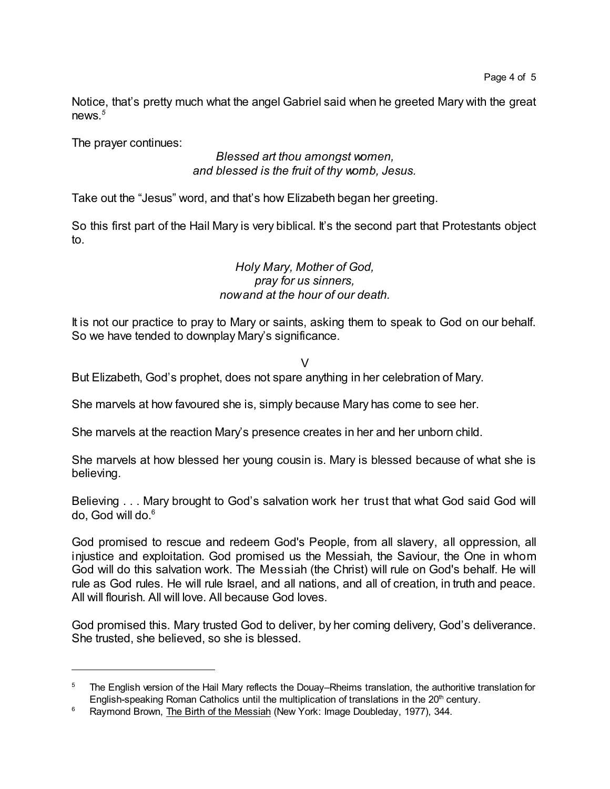Notice, that's pretty much what the angel Gabriel said when he greeted Mary with the great news*. 5*

The prayer continues:

## *Blessed art thou amongst women, and blessed is the fruit of thy womb, Jesus.*

Take out the "Jesus" word, and that's how Elizabeth began her greeting.

So this first part of the Hail Mary is very biblical. It's the second part that Protestants object to.

## *Holy Mary, Mother of God, pray for us sinners, nowand at the hour of our death.*

It is not our practice to pray to Mary or saints, asking them to speak to God on our behalf. So we have tended to downplay Mary's significance.

## V

But Elizabeth, God's prophet, does not spare anything in her celebration of Mary.

She marvels at how favoured she is, simply because Mary has come to see her.

She marvels at the reaction Mary's presence creates in her and her unborn child.

She marvels at how blessed her young cousin is. Mary is blessed because of what she is believing.

Believing . . . Mary brought to God's salvation work her trust that what God said God will do, God will do.<sup>6</sup>

God promised to rescue and redeem God's People, from all slavery, all oppression, all injustice and exploitation. God promised us the Messiah, the Saviour, the One in whom God will do this salvation work. The Messiah (the Christ) will rule on God's behalf. He will rule as God rules. He will rule Israel, and all nations, and all of creation, in truth and peace. All will flourish. All will love. All because God loves.

God promised this. Mary trusted God to deliver, by her coming delivery, God's deliverance. She trusted, she believed, so she is blessed.

<sup>&</sup>lt;sup>5</sup> The English version of the Hail Mary reflects the Douay–Rheims translation, the authoritive translation for English-speaking Roman Catholics until the multiplication of translations in the 20<sup>th</sup> century.

<sup>&</sup>lt;sup>6</sup> Raymond Brown, The Birth of the Messiah (New York: Image Doubleday, 1977), 344.